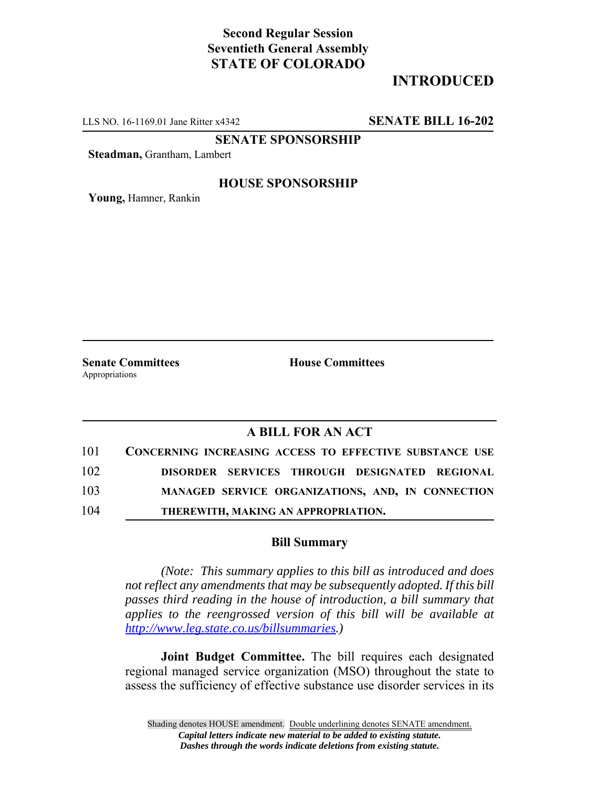## **Second Regular Session Seventieth General Assembly STATE OF COLORADO**

# **INTRODUCED**

LLS NO. 16-1169.01 Jane Ritter x4342 **SENATE BILL 16-202**

**SENATE SPONSORSHIP**

**Steadman,** Grantham, Lambert

#### **HOUSE SPONSORSHIP**

**Young,** Hamner, Rankin

Appropriations

**Senate Committees House Committees** 

### **A BILL FOR AN ACT**

| 101 | CONCERNING INCREASING ACCESS TO EFFECTIVE SUBSTANCE USE |
|-----|---------------------------------------------------------|
| 102 | DISORDER SERVICES THROUGH DESIGNATED REGIONAL           |
| 103 | MANAGED SERVICE ORGANIZATIONS, AND, IN CONNECTION       |
| 104 | THEREWITH, MAKING AN APPROPRIATION.                     |

#### **Bill Summary**

*(Note: This summary applies to this bill as introduced and does not reflect any amendments that may be subsequently adopted. If this bill passes third reading in the house of introduction, a bill summary that applies to the reengrossed version of this bill will be available at http://www.leg.state.co.us/billsummaries.)*

**Joint Budget Committee.** The bill requires each designated regional managed service organization (MSO) throughout the state to assess the sufficiency of effective substance use disorder services in its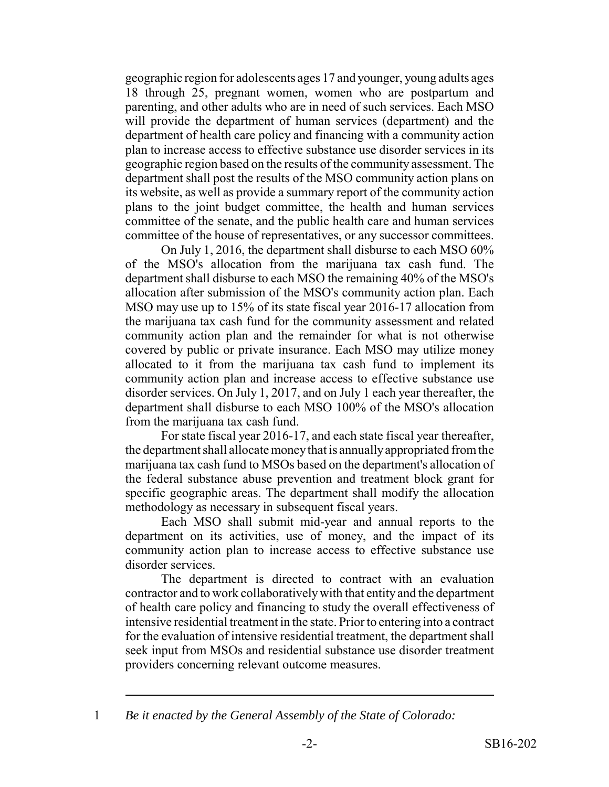geographic region for adolescents ages 17 and younger, young adults ages 18 through 25, pregnant women, women who are postpartum and parenting, and other adults who are in need of such services. Each MSO will provide the department of human services (department) and the department of health care policy and financing with a community action plan to increase access to effective substance use disorder services in its geographic region based on the results of the community assessment. The department shall post the results of the MSO community action plans on its website, as well as provide a summary report of the community action plans to the joint budget committee, the health and human services committee of the senate, and the public health care and human services committee of the house of representatives, or any successor committees.

On July 1, 2016, the department shall disburse to each MSO 60% of the MSO's allocation from the marijuana tax cash fund. The department shall disburse to each MSO the remaining 40% of the MSO's allocation after submission of the MSO's community action plan. Each MSO may use up to 15% of its state fiscal year 2016-17 allocation from the marijuana tax cash fund for the community assessment and related community action plan and the remainder for what is not otherwise covered by public or private insurance. Each MSO may utilize money allocated to it from the marijuana tax cash fund to implement its community action plan and increase access to effective substance use disorder services. On July 1, 2017, and on July 1 each year thereafter, the department shall disburse to each MSO 100% of the MSO's allocation from the marijuana tax cash fund.

For state fiscal year 2016-17, and each state fiscal year thereafter, the department shall allocate money that is annually appropriated from the marijuana tax cash fund to MSOs based on the department's allocation of the federal substance abuse prevention and treatment block grant for specific geographic areas. The department shall modify the allocation methodology as necessary in subsequent fiscal years.

Each MSO shall submit mid-year and annual reports to the department on its activities, use of money, and the impact of its community action plan to increase access to effective substance use disorder services.

The department is directed to contract with an evaluation contractor and to work collaboratively with that entity and the department of health care policy and financing to study the overall effectiveness of intensive residential treatment in the state. Prior to entering into a contract for the evaluation of intensive residential treatment, the department shall seek input from MSOs and residential substance use disorder treatment providers concerning relevant outcome measures.

<sup>1</sup> *Be it enacted by the General Assembly of the State of Colorado:*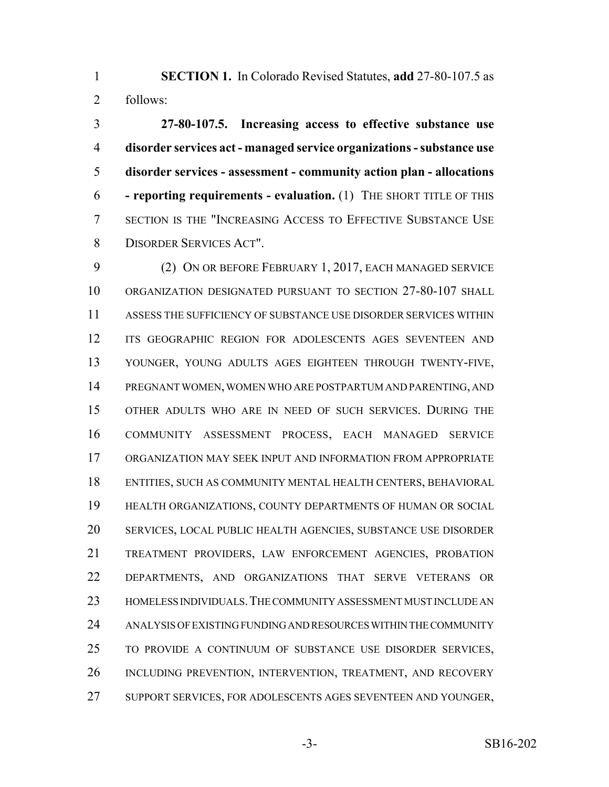**SECTION 1.** In Colorado Revised Statutes, **add** 27-80-107.5 as follows:

 **27-80-107.5. Increasing access to effective substance use disorder services act - managed service organizations - substance use disorder services - assessment - community action plan - allocations - reporting requirements - evaluation.** (1) THE SHORT TITLE OF THIS SECTION IS THE "INCREASING ACCESS TO EFFECTIVE SUBSTANCE USE DISORDER SERVICES ACT".

 (2) ON OR BEFORE FEBRUARY 1, 2017, EACH MANAGED SERVICE ORGANIZATION DESIGNATED PURSUANT TO SECTION 27-80-107 SHALL ASSESS THE SUFFICIENCY OF SUBSTANCE USE DISORDER SERVICES WITHIN ITS GEOGRAPHIC REGION FOR ADOLESCENTS AGES SEVENTEEN AND YOUNGER, YOUNG ADULTS AGES EIGHTEEN THROUGH TWENTY-FIVE, PREGNANT WOMEN, WOMEN WHO ARE POSTPARTUM AND PARENTING, AND OTHER ADULTS WHO ARE IN NEED OF SUCH SERVICES. DURING THE COMMUNITY ASSESSMENT PROCESS, EACH MANAGED SERVICE ORGANIZATION MAY SEEK INPUT AND INFORMATION FROM APPROPRIATE ENTITIES, SUCH AS COMMUNITY MENTAL HEALTH CENTERS, BEHAVIORAL HEALTH ORGANIZATIONS, COUNTY DEPARTMENTS OF HUMAN OR SOCIAL SERVICES, LOCAL PUBLIC HEALTH AGENCIES, SUBSTANCE USE DISORDER TREATMENT PROVIDERS, LAW ENFORCEMENT AGENCIES, PROBATION DEPARTMENTS, AND ORGANIZATIONS THAT SERVE VETERANS OR HOMELESS INDIVIDUALS.THE COMMUNITY ASSESSMENT MUST INCLUDE AN ANALYSIS OF EXISTING FUNDING AND RESOURCES WITHIN THE COMMUNITY TO PROVIDE A CONTINUUM OF SUBSTANCE USE DISORDER SERVICES, INCLUDING PREVENTION, INTERVENTION, TREATMENT, AND RECOVERY SUPPORT SERVICES, FOR ADOLESCENTS AGES SEVENTEEN AND YOUNGER,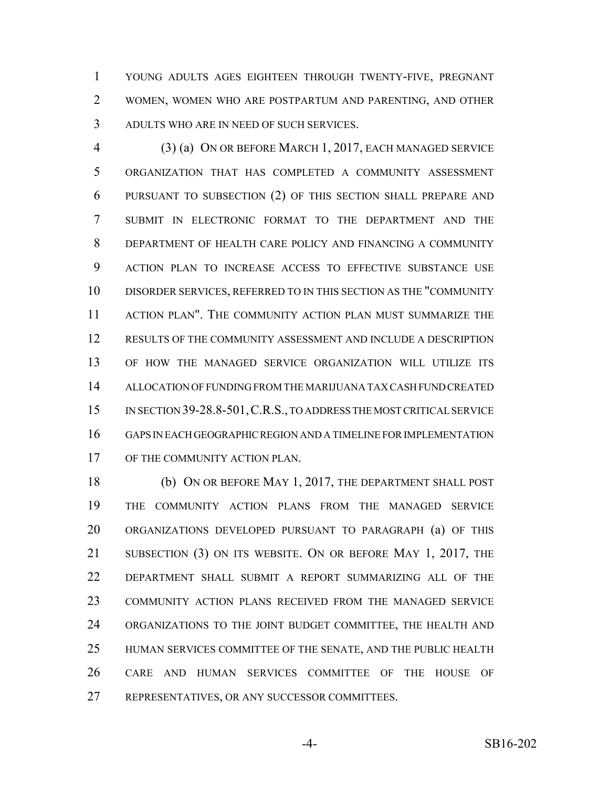YOUNG ADULTS AGES EIGHTEEN THROUGH TWENTY-FIVE, PREGNANT WOMEN, WOMEN WHO ARE POSTPARTUM AND PARENTING, AND OTHER ADULTS WHO ARE IN NEED OF SUCH SERVICES.

 (3) (a) ON OR BEFORE MARCH 1, 2017, EACH MANAGED SERVICE ORGANIZATION THAT HAS COMPLETED A COMMUNITY ASSESSMENT PURSUANT TO SUBSECTION (2) OF THIS SECTION SHALL PREPARE AND SUBMIT IN ELECTRONIC FORMAT TO THE DEPARTMENT AND THE DEPARTMENT OF HEALTH CARE POLICY AND FINANCING A COMMUNITY ACTION PLAN TO INCREASE ACCESS TO EFFECTIVE SUBSTANCE USE DISORDER SERVICES, REFERRED TO IN THIS SECTION AS THE "COMMUNITY ACTION PLAN". THE COMMUNITY ACTION PLAN MUST SUMMARIZE THE RESULTS OF THE COMMUNITY ASSESSMENT AND INCLUDE A DESCRIPTION OF HOW THE MANAGED SERVICE ORGANIZATION WILL UTILIZE ITS ALLOCATION OF FUNDING FROM THE MARIJUANA TAX CASH FUND CREATED IN SECTION 39-28.8-501,C.R.S., TO ADDRESS THE MOST CRITICAL SERVICE GAPS IN EACH GEOGRAPHIC REGION AND A TIMELINE FOR IMPLEMENTATION OF THE COMMUNITY ACTION PLAN.

 (b) ON OR BEFORE MAY 1, 2017, THE DEPARTMENT SHALL POST THE COMMUNITY ACTION PLANS FROM THE MANAGED SERVICE ORGANIZATIONS DEVELOPED PURSUANT TO PARAGRAPH (a) OF THIS 21 SUBSECTION (3) ON ITS WEBSITE. ON OR BEFORE MAY 1, 2017, THE DEPARTMENT SHALL SUBMIT A REPORT SUMMARIZING ALL OF THE COMMUNITY ACTION PLANS RECEIVED FROM THE MANAGED SERVICE ORGANIZATIONS TO THE JOINT BUDGET COMMITTEE, THE HEALTH AND HUMAN SERVICES COMMITTEE OF THE SENATE, AND THE PUBLIC HEALTH CARE AND HUMAN SERVICES COMMITTEE OF THE HOUSE OF REPRESENTATIVES, OR ANY SUCCESSOR COMMITTEES.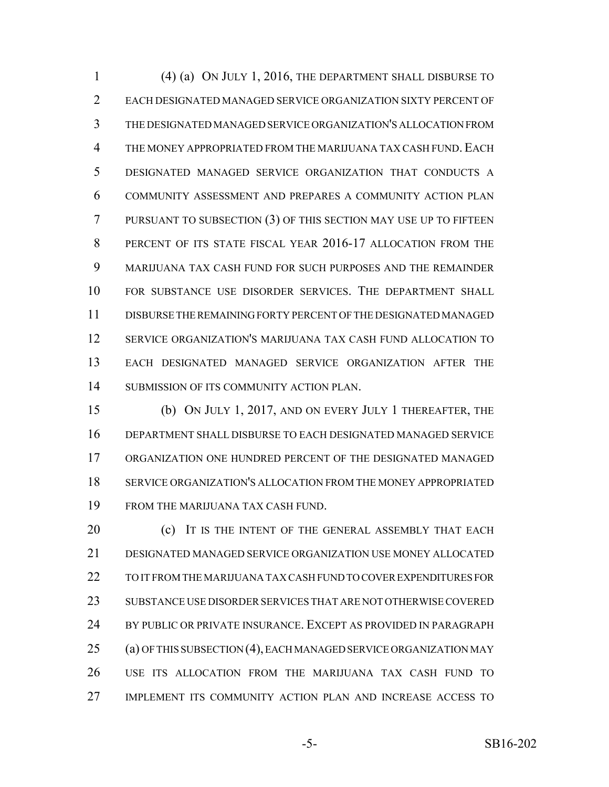(4) (a) ON JULY 1, 2016, THE DEPARTMENT SHALL DISBURSE TO EACH DESIGNATED MANAGED SERVICE ORGANIZATION SIXTY PERCENT OF THE DESIGNATED MANAGED SERVICE ORGANIZATION'S ALLOCATION FROM 4 THE MONEY APPROPRIATED FROM THE MARIJUANA TAX CASH FUND. EACH DESIGNATED MANAGED SERVICE ORGANIZATION THAT CONDUCTS A COMMUNITY ASSESSMENT AND PREPARES A COMMUNITY ACTION PLAN PURSUANT TO SUBSECTION (3) OF THIS SECTION MAY USE UP TO FIFTEEN 8 PERCENT OF ITS STATE FISCAL YEAR 2016-17 ALLOCATION FROM THE MARIJUANA TAX CASH FUND FOR SUCH PURPOSES AND THE REMAINDER FOR SUBSTANCE USE DISORDER SERVICES. THE DEPARTMENT SHALL DISBURSE THE REMAINING FORTY PERCENT OF THE DESIGNATED MANAGED SERVICE ORGANIZATION'S MARIJUANA TAX CASH FUND ALLOCATION TO EACH DESIGNATED MANAGED SERVICE ORGANIZATION AFTER THE SUBMISSION OF ITS COMMUNITY ACTION PLAN.

 (b) ON JULY 1, 2017, AND ON EVERY JULY 1 THEREAFTER, THE DEPARTMENT SHALL DISBURSE TO EACH DESIGNATED MANAGED SERVICE ORGANIZATION ONE HUNDRED PERCENT OF THE DESIGNATED MANAGED SERVICE ORGANIZATION'S ALLOCATION FROM THE MONEY APPROPRIATED FROM THE MARIJUANA TAX CASH FUND.

**(c)** IT IS THE INTENT OF THE GENERAL ASSEMBLY THAT EACH DESIGNATED MANAGED SERVICE ORGANIZATION USE MONEY ALLOCATED TO IT FROM THE MARIJUANA TAX CASH FUND TO COVER EXPENDITURES FOR SUBSTANCE USE DISORDER SERVICES THAT ARE NOT OTHERWISE COVERED BY PUBLIC OR PRIVATE INSURANCE. EXCEPT AS PROVIDED IN PARAGRAPH (a) OF THIS SUBSECTION (4), EACH MANAGED SERVICE ORGANIZATION MAY USE ITS ALLOCATION FROM THE MARIJUANA TAX CASH FUND TO IMPLEMENT ITS COMMUNITY ACTION PLAN AND INCREASE ACCESS TO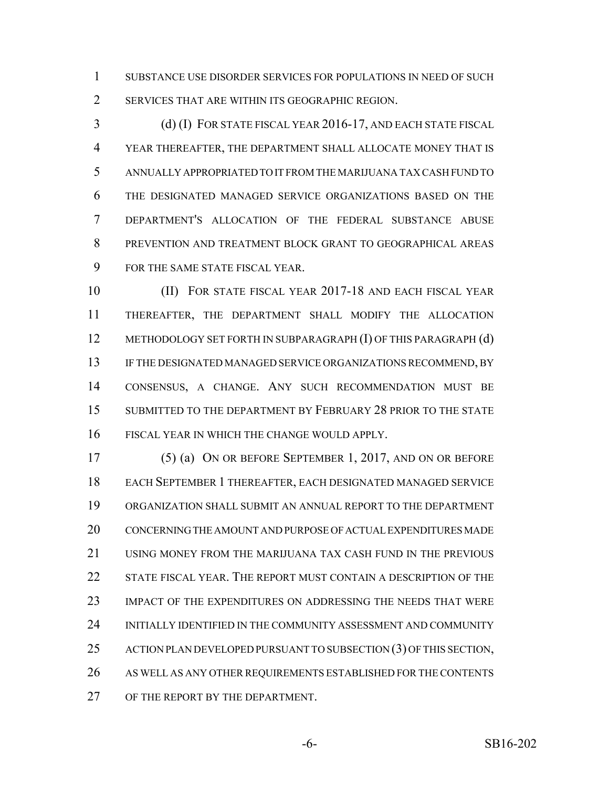SUBSTANCE USE DISORDER SERVICES FOR POPULATIONS IN NEED OF SUCH SERVICES THAT ARE WITHIN ITS GEOGRAPHIC REGION.

 (d) (I) FOR STATE FISCAL YEAR 2016-17, AND EACH STATE FISCAL YEAR THEREAFTER, THE DEPARTMENT SHALL ALLOCATE MONEY THAT IS ANNUALLY APPROPRIATED TO IT FROM THE MARIJUANA TAX CASH FUND TO THE DESIGNATED MANAGED SERVICE ORGANIZATIONS BASED ON THE DEPARTMENT'S ALLOCATION OF THE FEDERAL SUBSTANCE ABUSE PREVENTION AND TREATMENT BLOCK GRANT TO GEOGRAPHICAL AREAS FOR THE SAME STATE FISCAL YEAR.

 (II) FOR STATE FISCAL YEAR 2017-18 AND EACH FISCAL YEAR THEREAFTER, THE DEPARTMENT SHALL MODIFY THE ALLOCATION 12 METHODOLOGY SET FORTH IN SUBPARAGRAPH (I) OF THIS PARAGRAPH (d) IF THE DESIGNATED MANAGED SERVICE ORGANIZATIONS RECOMMEND, BY CONSENSUS, A CHANGE. ANY SUCH RECOMMENDATION MUST BE 15 SUBMITTED TO THE DEPARTMENT BY FEBRUARY 28 PRIOR TO THE STATE FISCAL YEAR IN WHICH THE CHANGE WOULD APPLY.

 (5) (a) ON OR BEFORE SEPTEMBER 1, 2017, AND ON OR BEFORE EACH SEPTEMBER 1 THEREAFTER, EACH DESIGNATED MANAGED SERVICE ORGANIZATION SHALL SUBMIT AN ANNUAL REPORT TO THE DEPARTMENT CONCERNING THE AMOUNT AND PURPOSE OF ACTUAL EXPENDITURES MADE USING MONEY FROM THE MARIJUANA TAX CASH FUND IN THE PREVIOUS STATE FISCAL YEAR. THE REPORT MUST CONTAIN A DESCRIPTION OF THE IMPACT OF THE EXPENDITURES ON ADDRESSING THE NEEDS THAT WERE INITIALLY IDENTIFIED IN THE COMMUNITY ASSESSMENT AND COMMUNITY 25 ACTION PLAN DEVELOPED PURSUANT TO SUBSECTION (3) OF THIS SECTION, AS WELL AS ANY OTHER REQUIREMENTS ESTABLISHED FOR THE CONTENTS 27 OF THE REPORT BY THE DEPARTMENT.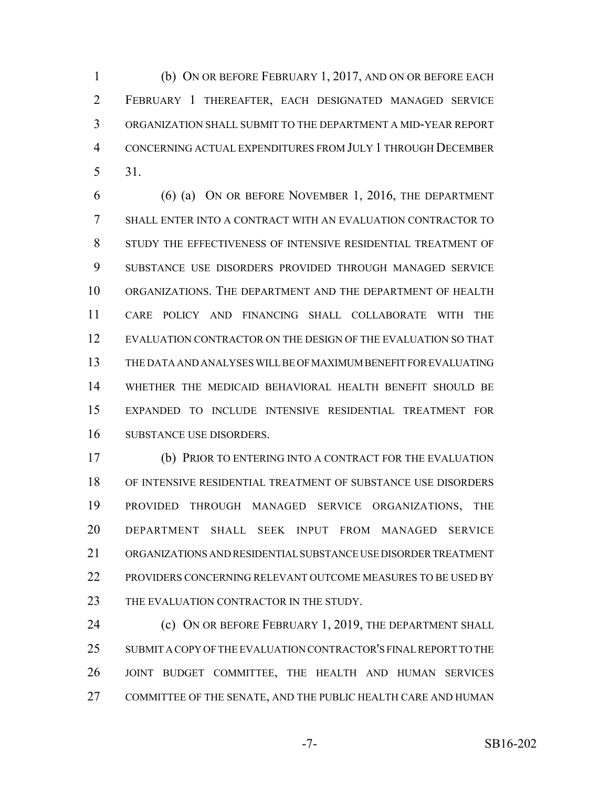(b) ON OR BEFORE FEBRUARY 1, 2017, AND ON OR BEFORE EACH FEBRUARY 1 THEREAFTER, EACH DESIGNATED MANAGED SERVICE ORGANIZATION SHALL SUBMIT TO THE DEPARTMENT A MID-YEAR REPORT CONCERNING ACTUAL EXPENDITURES FROM JULY 1 THROUGH DECEMBER 31.

 (6) (a) ON OR BEFORE NOVEMBER 1, 2016, THE DEPARTMENT SHALL ENTER INTO A CONTRACT WITH AN EVALUATION CONTRACTOR TO STUDY THE EFFECTIVENESS OF INTENSIVE RESIDENTIAL TREATMENT OF SUBSTANCE USE DISORDERS PROVIDED THROUGH MANAGED SERVICE ORGANIZATIONS. THE DEPARTMENT AND THE DEPARTMENT OF HEALTH CARE POLICY AND FINANCING SHALL COLLABORATE WITH THE EVALUATION CONTRACTOR ON THE DESIGN OF THE EVALUATION SO THAT THE DATA AND ANALYSES WILL BE OF MAXIMUM BENEFIT FOR EVALUATING WHETHER THE MEDICAID BEHAVIORAL HEALTH BENEFIT SHOULD BE EXPANDED TO INCLUDE INTENSIVE RESIDENTIAL TREATMENT FOR SUBSTANCE USE DISORDERS.

 (b) PRIOR TO ENTERING INTO A CONTRACT FOR THE EVALUATION OF INTENSIVE RESIDENTIAL TREATMENT OF SUBSTANCE USE DISORDERS PROVIDED THROUGH MANAGED SERVICE ORGANIZATIONS, THE DEPARTMENT SHALL SEEK INPUT FROM MANAGED SERVICE ORGANIZATIONS AND RESIDENTIAL SUBSTANCE USE DISORDER TREATMENT 22 PROVIDERS CONCERNING RELEVANT OUTCOME MEASURES TO BE USED BY 23 THE EVALUATION CONTRACTOR IN THE STUDY.

**(c) ON OR BEFORE FEBRUARY 1, 2019, THE DEPARTMENT SHALL**  SUBMIT A COPY OF THE EVALUATION CONTRACTOR'S FINAL REPORT TO THE JOINT BUDGET COMMITTEE, THE HEALTH AND HUMAN SERVICES COMMITTEE OF THE SENATE, AND THE PUBLIC HEALTH CARE AND HUMAN